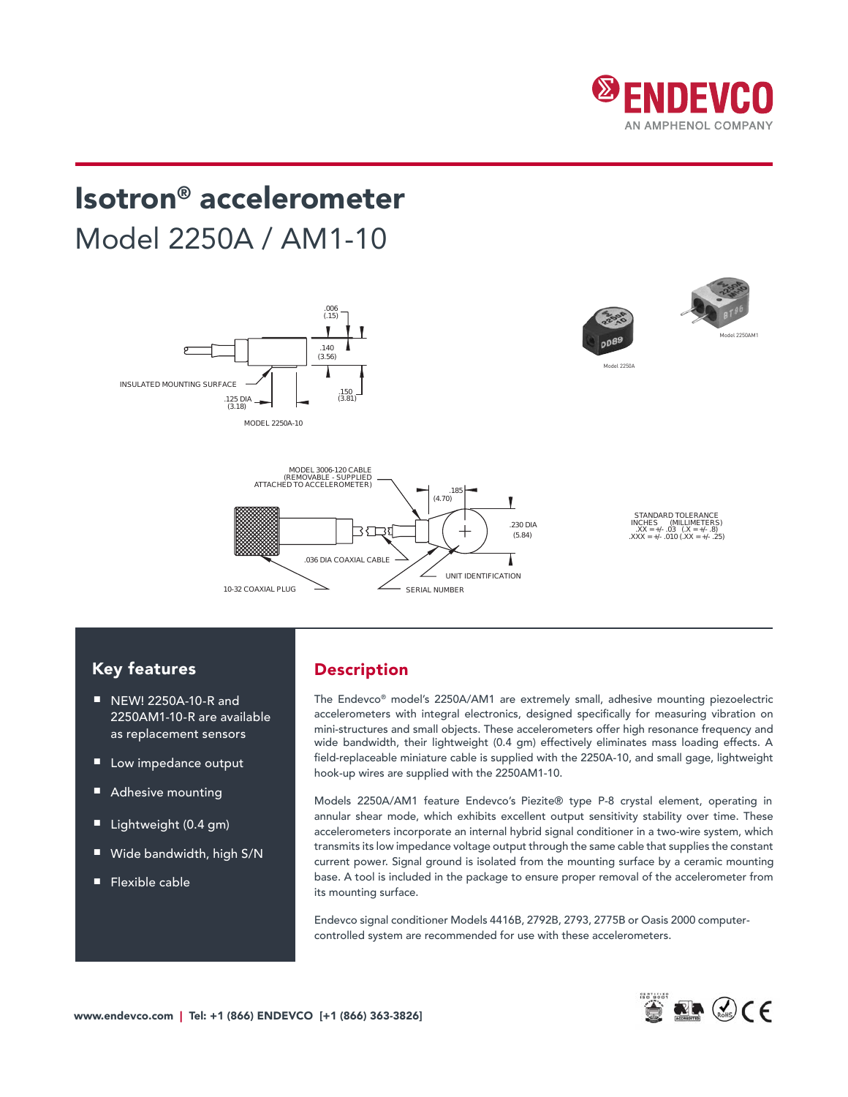

# Isotron<sup>®</sup> accelerometer Model 2250A / AM1-10

POSITIVE OUTPUT



### Key features

- NEW! 2250A-10-R and 2250AM1-10-R are available laccel as replacement sensors
- Low impedance output
- Adhesive mounting
- Lightweight (0.4 gm)
- Wide bandwidth, high S/N
- Flexible cable

### Description

The Endevco® model's 2250A/AM1 are extremely small, adhesive mounting piezoelectric ble accelerometers with integral electronics, designed specifically for measuring vibration on mini-structures and small objects. These accelerometers offer high resonance frequency and wide bandwidth, their lightweight (0.4 gm) effectively eliminates mass loading effects. A field-replaceable miniature cable is supplied with the 2250A-10, and small gage, lightweight hook-up wires are supplied with the 2250AM1-10.

.140

Models 2250A/AM1 feature Endevco's Piezite® type P-8 crystal element, operating in annular shear mode, which exhibits excellent output sensitivity stability over time. These accelerometers incorporate an internal hybrid signal conditioner in a two-wire system, which transmits its low impedance voltage output through the same cable that supplies the constant current power. Signal ground is isolated from the mounting surface by a ceramic mounting base. A tool is included in the package to ensure proper removal of the accelerometer from its mounting surface.

Endevco signal conditioner Models 4416B, 2792B, 2793, 2775B or Oasis 2000 computercontrolled system are recommended for use with these accelerometers.

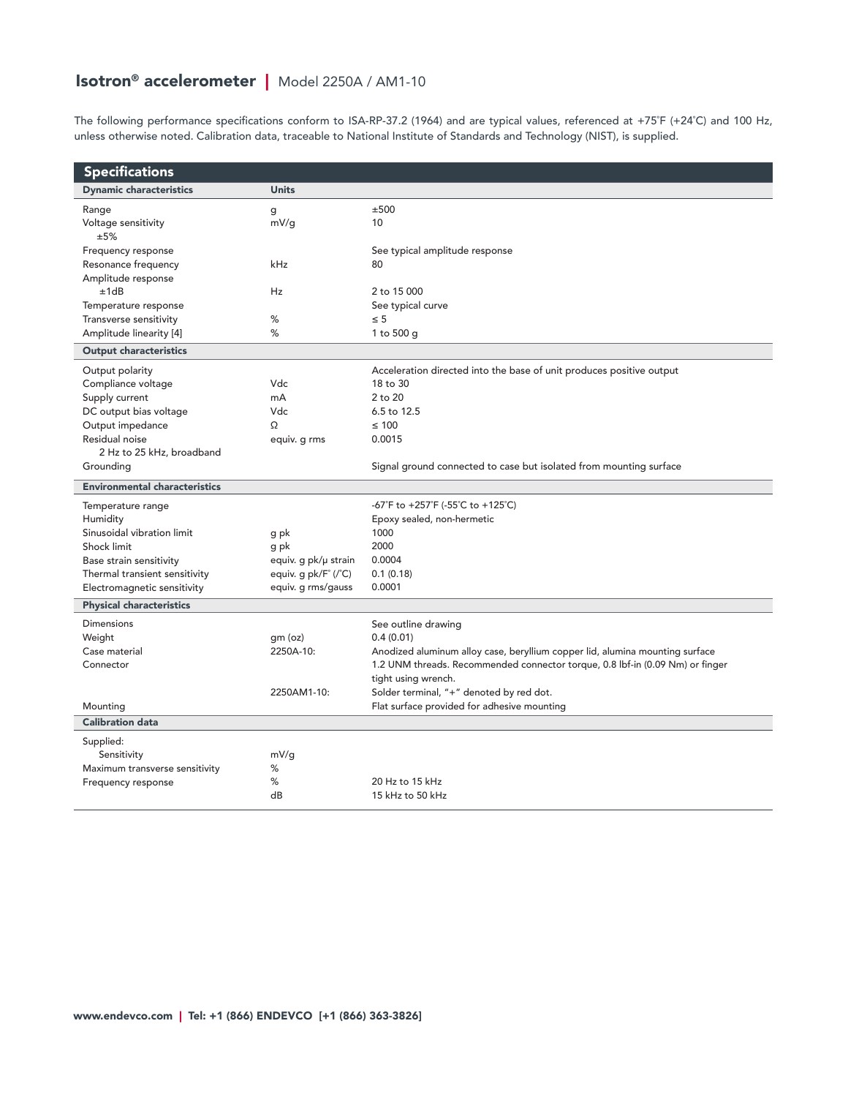## Isotron® accelerometer | Model 2250A / AM1-10

The following performance specifications conform to ISA-RP-37.2 (1964) and are typical values, referenced at +75˚F (+24˚C) and 100 Hz, unless otherwise noted. Calibration data, traceable to National Institute of Standards and Technology (NIST), is supplied.

| <b>Specifications</b>                |                      |                                                                               |  |  |  |
|--------------------------------------|----------------------|-------------------------------------------------------------------------------|--|--|--|
| <b>Dynamic characteristics</b>       | <b>Units</b>         |                                                                               |  |  |  |
| Range                                | g                    | ±500                                                                          |  |  |  |
| Voltage sensitivity                  | mV/q                 | 10                                                                            |  |  |  |
| ±5%                                  |                      |                                                                               |  |  |  |
| Frequency response                   |                      | See typical amplitude response                                                |  |  |  |
| Resonance frequency                  | kHz                  | 80                                                                            |  |  |  |
| Amplitude response                   |                      |                                                                               |  |  |  |
| ±1dB                                 | Hz                   | 2 to 15 000                                                                   |  |  |  |
| Temperature response                 |                      | See typical curve                                                             |  |  |  |
| Transverse sensitivity               | %                    | $\leq 5$                                                                      |  |  |  |
| Amplitude linearity [4]              | %                    | 1 to 500 g                                                                    |  |  |  |
| <b>Output characteristics</b>        |                      |                                                                               |  |  |  |
| Output polarity                      |                      | Acceleration directed into the base of unit produces positive output          |  |  |  |
| Compliance voltage                   | Vdc                  | 18 to 30                                                                      |  |  |  |
| Supply current                       | mA                   | 2 to 20                                                                       |  |  |  |
| DC output bias voltage               | Vdc                  | 6.5 to 12.5                                                                   |  |  |  |
| Output impedance                     | Ω                    | $\leq 100$                                                                    |  |  |  |
| Residual noise                       | equiv. g rms         | 0.0015                                                                        |  |  |  |
| 2 Hz to 25 kHz, broadband            |                      |                                                                               |  |  |  |
| Grounding                            |                      | Signal ground connected to case but isolated from mounting surface            |  |  |  |
| <b>Environmental characteristics</b> |                      |                                                                               |  |  |  |
| Temperature range                    |                      | -67°F to +257°F (-55°C to +125°C)                                             |  |  |  |
| Humidity                             |                      | Epoxy sealed, non-hermetic                                                    |  |  |  |
| Sinusoidal vibration limit           | g pk                 | 1000                                                                          |  |  |  |
| Shock limit                          | g pk                 | 2000                                                                          |  |  |  |
| Base strain sensitivity              | equiv. g pk/µ strain | 0.0004                                                                        |  |  |  |
| Thermal transient sensitivity        | equiv. g pk/F° (/°C) | 0.1(0.18)                                                                     |  |  |  |
| Electromagnetic sensitivity          | equiv. g rms/gauss   | 0.0001                                                                        |  |  |  |
| <b>Physical characteristics</b>      |                      |                                                                               |  |  |  |
| <b>Dimensions</b>                    |                      | See outline drawing                                                           |  |  |  |
| Weight                               | qm (oz)              | 0.4(0.01)                                                                     |  |  |  |
| Case material                        | 2250A-10:            | Anodized aluminum alloy case, beryllium copper lid, alumina mounting surface  |  |  |  |
| Connector                            |                      | 1.2 UNM threads. Recommended connector torque, 0.8 lbf-in (0.09 Nm) or finger |  |  |  |
|                                      |                      | tight using wrench.                                                           |  |  |  |
|                                      | 2250AM1-10:          | Solder terminal, "+" denoted by red dot.                                      |  |  |  |
| Mounting                             |                      | Flat surface provided for adhesive mounting                                   |  |  |  |
| <b>Calibration data</b>              |                      |                                                                               |  |  |  |
| Supplied:                            |                      |                                                                               |  |  |  |
| Sensitivity                          | mV/q                 |                                                                               |  |  |  |
| Maximum transverse sensitivity       | ℅                    |                                                                               |  |  |  |
| Frequency response                   | %                    | 20 Hz to 15 kHz                                                               |  |  |  |
|                                      | dB                   | 15 kHz to 50 kHz                                                              |  |  |  |
|                                      |                      |                                                                               |  |  |  |